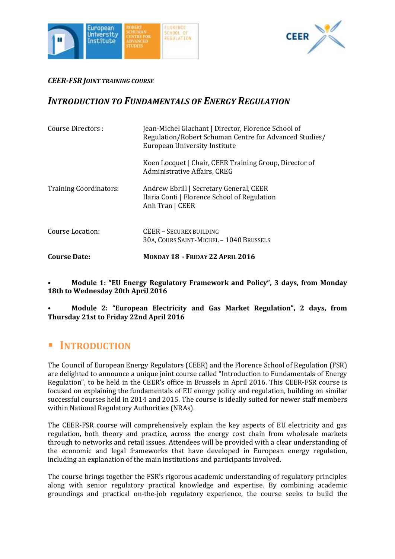



### *CEER-FSR JOINT TRAINING COURSE*

## *INTRODUCTION TO FUNDAMENTALS OF ENERGY REGULATION*

| Course Directors :            | Jean-Michel Glachant   Director, Florence School of<br>Regulation/Robert Schuman Centre for Advanced Studies/<br>European University Institute |
|-------------------------------|------------------------------------------------------------------------------------------------------------------------------------------------|
|                               | Koen Locquet   Chair, CEER Training Group, Director of<br>Administrative Affairs, CREG                                                         |
| <b>Training Coordinators:</b> | Andrew Ebrill   Secretary General, CEER<br>Ilaria Conti   Florence School of Regulation<br>Anh Tran   CEER                                     |
| Course Location:              | CEER - SECUREX BUILDING<br>30A, COURS SAINT-MICHEL - 1040 BRUSSELS                                                                             |
| Course Date:                  | MONDAY 18 - FRIDAY 22 APRIL 2016                                                                                                               |

• **Module 1: "EU Energy Regulatory Framework and Policy", 3 days, from Monday 18th to Wednesday 20th April 2016**

• **Module 2: "European Electricity and Gas Market Regulation", 2 days, from Thursday 21st to Friday 22nd April 2016**

# **INTRODUCTION**

The Council of European Energy Regulators (CEER) and the Florence School of Regulation (FSR) are delighted to announce a unique joint course called "Introduction to Fundamentals of Energy Regulation", to be held in the CEER's office in Brussels in April 2016. This CEER-FSR course is focused on explaining the fundamentals of EU energy policy and regulation, building on similar successful courses held in 2014 and 2015. The course is ideally suited for newer staff members within National Regulatory Authorities (NRAs).

The CEER-FSR course will comprehensively explain the key aspects of EU electricity and gas regulation, both theory and practice, across the energy cost chain from wholesale markets through to networks and retail issues. Attendees will be provided with a clear understanding of the economic and legal frameworks that have developed in European energy regulation, including an explanation of the main institutions and participants involved.

The course brings together the FSR's rigorous academic understanding of regulatory principles along with senior regulatory practical knowledge and expertise. By combining academic groundings and practical on-the-job regulatory experience, the course seeks to build the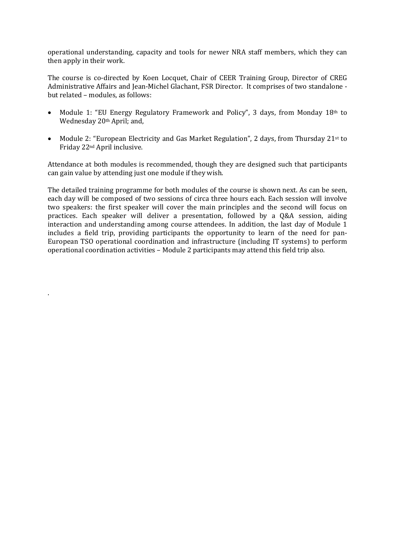operational understanding, capacity and tools for newer NRA staff members, which they can then apply in their work.

The course is co-directed by Koen Locquet, Chair of CEER Training Group, Director of CREG Administrative Affairs and Jean-Michel Glachant, FSR Director. It comprises of two standalone but related – modules, as follows:

- Module 1: "EU Energy Regulatory Framework and Policy", 3 days, from Monday 18th to Wednesday 20<sup>th</sup> April; and,
- Module 2: "European Electricity and Gas Market Regulation", 2 days, from Thursday 21st to Friday 22nd April inclusive.

Attendance at both modules is recommended, though they are designed such that participants can gain value by attending just one module if they wish.

The detailed training programme for both modules of the course is shown next. As can be seen, each day will be composed of two sessions of circa three hours each. Each session will involve two speakers: the first speaker will cover the main principles and the second will focus on practices. Each speaker will deliver a presentation, followed by a Q&A session, aiding interaction and understanding among course attendees. In addition, the last day of Module 1 includes a field trip, providing participants the opportunity to learn of the need for pan-European TSO operational coordination and infrastructure (including IT systems) to perform operational coordination activities – Module 2 participants may attend this field trip also.

.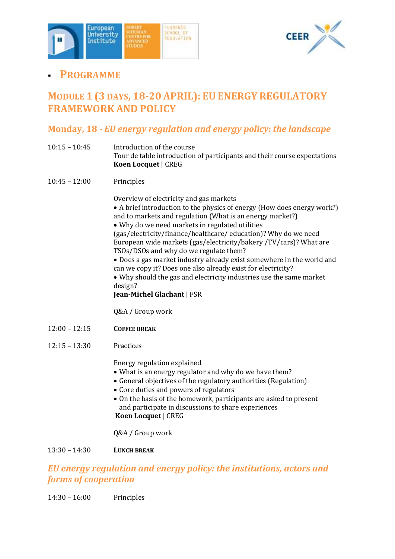



# **PROGRAMME**

# **MODULE 1 (3 DAYS, 18-20 APRIL): EU ENERGY REGULATORY FRAMEWORK AND POLICY**

## **Monday, 18** *- EU energy regulation and energy policy: the landscape*

- 10:15 10:45 Introduction of the course Tour de table introduction of participants and their course expectations **Koen Locquet** | CREG
- 10:45 12:00 Principles

Overview of electricity and gas markets

- A brief introduction to the physics of energy (How does energy work?) and to markets and regulation (What is an energy market?)
- Why do we need markets in regulated utilities

(gas/electricity/finance/healthcare/ education)? Why do we need European wide markets (gas/electricity/bakery /TV/cars)? What are TSOs/DSOs and why do we regulate them?

 Does a gas market industry already exist somewhere in the world and can we copy it? Does one also already exist for electricity?

 Why should the gas and electricity industries use the same market design?

#### **Jean-Michel Glachant** | FSR

Q&A / Group work

- 12:00 12:15 **COFFEE BREAK**
- 12:15 13:30 Practices

Energy regulation explained

- What is an energy regulator and why do we have them?
- General objectives of the regulatory authorities (Regulation)
- Core duties and powers of regulators
- On the basis of the homework, participants are asked to present and participate in discussions to share experiences **Koen Locquet** | CREG

Q&A / Group work

### 13:30 – 14:30 **LUNCH BREAK**

## *EU energy regulation and energy policy: the institutions, actors and forms of cooperation*

14:30 – 16:00 Principles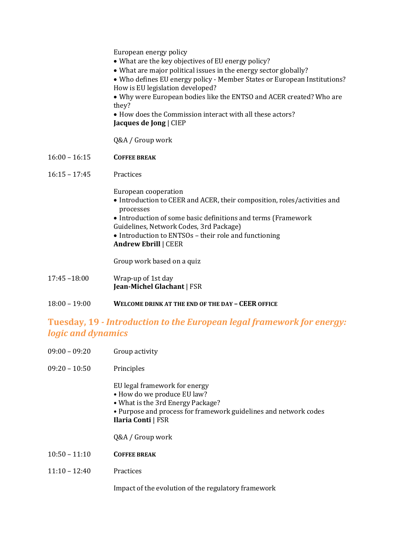European energy policy

- What are the key objectives of EU energy policy?
- What are major political issues in the energy sector globally?
- Who defines EU energy policy Member States or European Institutions? How is EU legislation developed?

 Why were European bodies like the ENTSO and ACER created? Who are they?

• How does the Commission interact with all these actors? **Jacques de Jong** | CIEP

Q&A / Group work

16:00 – 16:15 **COFFEE BREAK**

#### 16:15 – 17:45 Practices

European cooperation

- Introduction to CEER and ACER, their composition, roles/activities and processes
- Introduction of some basic definitions and terms (Framework Guidelines, Network Codes, 3rd Package)
- Introduction to ENTSOs their role and functioning **Andrew Ebrill** | CEER

Group work based on a quiz

- 17:45 –18:00 Wrap-up of 1st day **Jean-Michel Glachant** | FSR
- 18:00 19:00 **WELCOME DRINK AT THE END OF THE DAY – CEER OFFICE**

### **Tuesday, 19** *- Introduction to the European legal framework for energy: logic and dynamics*

- 09:00 09:20 Group activity
- 09:20 10:50 Principles

EU legal framework for energy

- How do we produce EU law?
- What is the 3rd Energy Package?
- Purpose and process for framework guidelines and network codes **Ilaria Conti** | FSR

Q&A / Group work

- 10:50 11:10 **COFFEE BREAK**
- 11:10 12:40 Practices

Impact of the evolution of the regulatory framework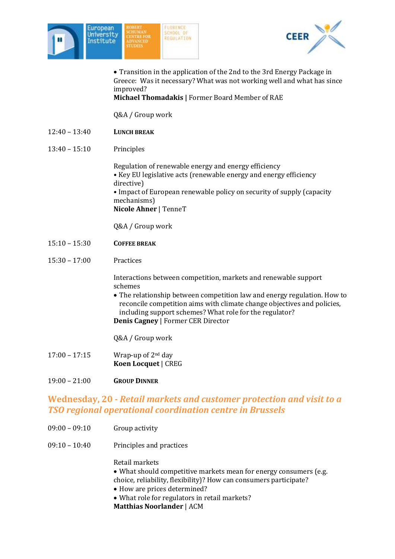



 Transition in the application of the 2nd to the 3rd Energy Package in Greece: Was it necessary? What was not working well and what has since improved?

#### **Michael Thomadakis |** Former Board Member of RAE

Q&A / Group work

- 12:40 13:40 **LUNCH BREAK**
- 13:40 15:10 Principles

Regulation of renewable energy and energy efficiency • Key EU legislative acts (renewable energy and energy efficiency directive) • Impact of European renewable policy on security of supply (capacity mechanisms) **Nicole Ahner** | TenneT

Q&A / Group work

- 15:10 15:30 **COFFEE BREAK**
- 15:30 17:00 Practices

Interactions between competition, markets and renewable support schemes

- The relationship between competition law and energy regulation. How to reconcile competition aims with climate change objectives and policies, including support schemes? What role for the regulator? **Denis Cagney** | Former CER Director
- Q&A / Group work
- 17:00 17:15 Wrap-up of 2nd day **Koen Locquet** | CREG
- 19:00 21:00 **GROUP DINNER**

### **Wednesday, 20** *- Retail markets and customer protection and visit to a TSO regional operational coordination centre in Brussels*

- 09:00 09:10 Group activity
- 09:10 10:40 Principles and practices

Retail markets

- What should competitive markets mean for energy consumers (e.g. choice, reliability, flexibility)? How can consumers participate?
- How are prices determined?
- What role for regulators in retail markets?
- **Matthias Noorlander** | ACM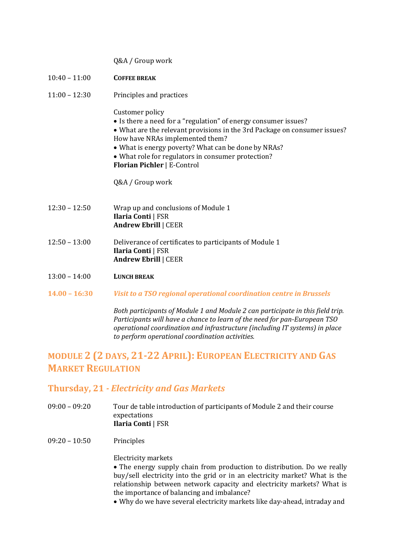|  | Q&A / Group work |  |
|--|------------------|--|
|--|------------------|--|

- 10:40 11:00 **COFFEE BREAK**
- 11:00 12:30 Principles and practices

Customer policy

- Is there a need for a "regulation" of energy consumer issues?
- What are the relevant provisions in the 3rd Package on consumer issues? How have NRAs implemented them?
- What is energy poverty? What can be done by NRAs?
- What role for regulators in consumer protection?
- **Florian Pichler** | E-Control

Q&A / Group work

- 12:30 12:50 Wrap up and conclusions of Module 1 **Ilaria Conti** | FSR **Andrew Ebrill** | CEER
- 12:50 13:00 Deliverance of certificates to participants of Module 1 **Ilaria Conti** | FSR **Andrew Ebrill** | CEER
- 13:00 14:00 **LUNCH BREAK**
- **14.00 – 16:30** *Visit to a TSO regional operational coordination centre in Brussels*

*Both participants of Module 1 and Module 2 can participate in this field trip. Participants will have a chance to learn of the need for pan-European TSO operational coordination and infrastructure (including IT systems) in place to perform operational coordination activities.* 

# **MODULE 2 (2 DAYS, 21-22 APRIL): EUROPEAN ELECTRICITY AND GAS MARKET REGULATION**

### **Thursday, 21** *- Electricity and Gas Markets*

- 09:00 09:20 Tour de table introduction of participants of Module 2 and their course expectations **Ilaria Conti** | FSR
- 09:20 10:50 Principles

Electricity markets

• The energy supply chain from production to distribution. Do we really buy/sell electricity into the grid or in an electricity market? What is the relationship between network capacity and electricity markets? What is the importance of balancing and imbalance?

Why do we have several electricity markets like day-ahead, intraday and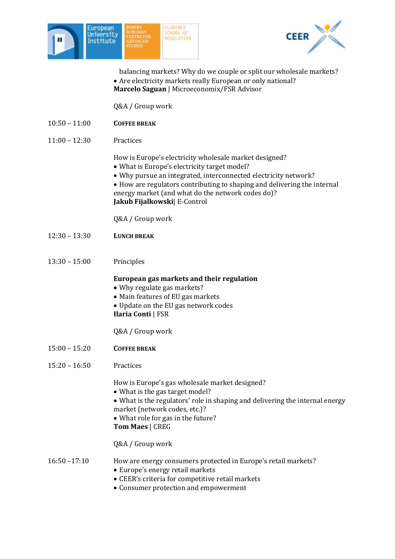



balancing markets? Why do we couple or split our wholesale markets? Are electricity markets really European or only national? **Marcelo Saguan** | Microeconomix/FSR Advisor

Q&A / Group work

- 10:50 11:00 **COFFEE BREAK**
- 11:00 12:30 Practices

How is Europe's electricity wholesale market designed?

- What is Europe's electricity target model?
- Why pursue an integrated, interconnected electricity network?
- How are regulators contributing to shaping and delivering the internal
- energy market (and what do the network codes do)?

**Jakub Fijalkowski**| E-Control

Q&A / Group work

- 12:30 13:30 **LUNCH BREAK**
- 13:30 15:00 Principles

**European gas markets and their regulation**

- Why regulate gas markets?
- Main features of EU gas markets
- Update on the EU gas network codes

#### **Ilaria Conti** | FSR

Q&A / Group work

- 15:00 15:20 **COFFEE BREAK**
- 15:20 16:50 Practices

How is Europe's gas wholesale market designed?

- What is the gas target model?
- What is the regulators' role in shaping and delivering the internal energy market (network codes, etc.)?
- What role for gas in the future?
- **Tom Maes** | CREG

Q&A / Group work

### 16:50 –17:10 How are energy consumers protected in Europe's retail markets?

- Europe's energy retail markets
- CEER's criteria for competitive retail markets
- Consumer protection and empowerment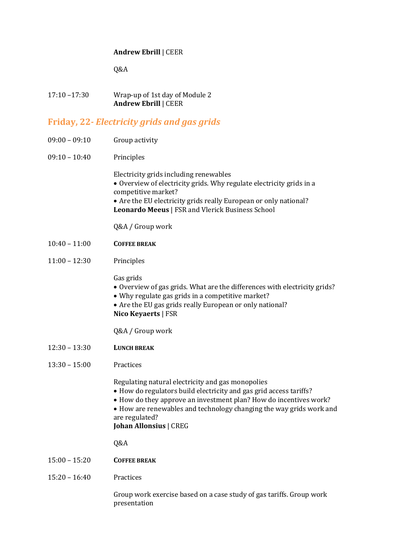#### **Andrew Ebrill** | CEER

Q&A

| $17:10 - 17:30$ | Wrap-up of 1st day of Module 2 |
|-----------------|--------------------------------|
|                 | <b>Andrew Ebrill   CEER</b>    |

### **Friday, 22***- Electricity grids and gas grids*

- 09:00 09:10 Group activity
- 09:10 10:40 Principles

Electricity grids including renewables Overview of electricity grids. Why regulate electricity grids in a competitive market? Are the EU electricity grids really European or only national? **Leonardo Meeus** | FSR and Vlerick Business School

Q&A / Group work

- 10:40 11:00 **COFFEE BREAK**
- 11:00 12:30 Principles

Gas grids

- Overview of gas grids. What are the differences with electricity grids?
- Why regulate gas grids in a competitive market?
- Are the EU gas grids really European or only national? **Nico Keyaerts** | FSR

Q&A / Group work

- 12:30 13:30 **LUNCH BREAK**
- 13:30 15:00 Practices

Regulating natural electricity and gas monopolies

- How do regulators build electricity and gas grid access tariffs?
- How do they approve an investment plan? How do incentives work?
- How are renewables and technology changing the way grids work and are regulated?

**Johan Allonsius** | CREG

Q&A

- 15:00 15:20 **COFFEE BREAK**
- 15:20 16:40 Practices

Group work exercise based on a case study of gas tariffs. Group work presentation